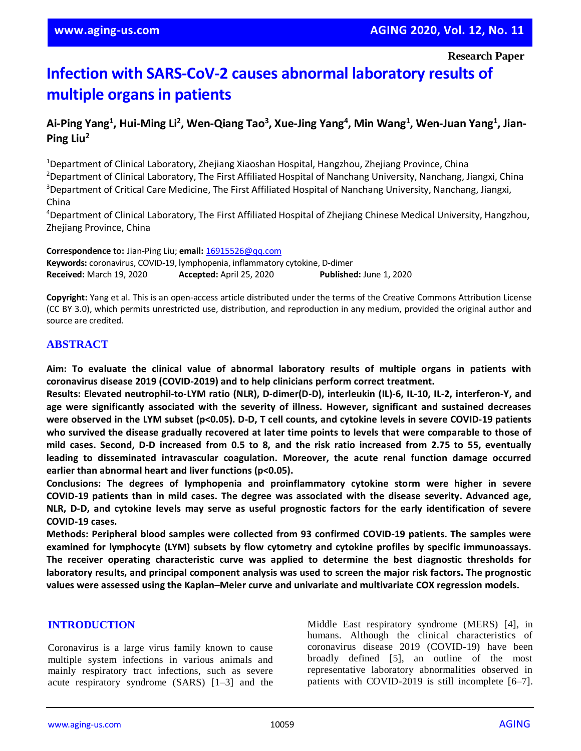**Research Paper**

# **Infection with SARS-CoV-2 causes abnormal laboratory results of multiple organs in patients**

## Ai-Ping Yang<sup>1</sup>, Hui-Ming Li<sup>2</sup>, Wen-Qiang Tao<sup>3</sup>, Xue-Jing Yang<sup>4</sup>, Min Wang<sup>1</sup>, Wen-Juan Yang<sup>1</sup>, Jian-**Ping Liu<sup>2</sup>**

<sup>1</sup>Department of Clinical Laboratory, Zhejiang Xiaoshan Hospital, Hangzhou, Zhejiang Province, China <sup>2</sup>Department of Clinical Laboratory, The First Affiliated Hospital of Nanchang University, Nanchang, Jiangxi, China <sup>3</sup>Department of Critical Care Medicine, The First Affiliated Hospital of Nanchang University, Nanchang, Jiangxi, China

<sup>4</sup>Department of Clinical Laboratory, The First Affiliated Hospital of Zhejiang Chinese Medical University, Hangzhou, Zhejiang Province, China

**Correspondence to:** Jian-Ping Liu; **email:** [16915526@qq.com](mailto:16915526@qq.com) **Keywords:** coronavirus, COVID-19, lymphopenia, inflammatory cytokine, D-dimer **Received:** March 19, 2020 **Accepted:** April 25, 2020 **Published:** June 1, 2020

**Copyright:** Yang et al. This is an open-access article distributed under the terms of the Creative Commons Attribution License (CC BY 3.0), which permits unrestricted use, distribution, and reproduction in any medium, provided the original author and source are credited.

## **ABSTRACT**

**Aim: To evaluate the clinical value of abnormal laboratory results of multiple organs in patients with coronavirus disease 2019 (COVID-2019) and to help clinicians perform correct treatment.**

**Results: Elevated neutrophil-to-LYM ratio (NLR), D-dimer(D-D), interleukin (IL)-6, IL-10, IL-2, interferon-Y, and age were significantly associated with the severity of illness. However, significant and sustained decreases** were observed in the LYM subset (p<0.05). D-D, T cell counts, and cytokine levels in severe COVID-19 patients who survived the disease gradually recovered at later time points to levels that were comparable to those of mild cases. Second, D-D increased from 0.5 to 8, and the risk ratio increased from 2.75 to 55, eventually **leading to disseminated intravascular coagulation. Moreover, the acute renal function damage occurred earlier than abnormal heart and liver functions (p<0.05).**

**Conclusions: The degrees of lymphopenia and proinflammatory cytokine storm were higher in severe COVID-19 patients than in mild cases. The degree was associated with the disease severity. Advanced age,** NLR, D-D, and cytokine levels may serve as useful prognostic factors for the early identification of severe **COVID-19 cases.**

**Methods: Peripheral blood samples were collected from 93 confirmed COVID-19 patients. The samples were examined for lymphocyte (LYM) subsets by flow cytometry and cytokine profiles by specific immunoassays. The receiver operating characteristic curve was applied to determine the best diagnostic thresholds for laboratory results, and principal component analysis was used to screen the major risk factors. The prognostic values were assessed using the Kaplan–Meier curve and univariate and multivariate COX regression models.**

## **INTRODUCTION**

Coronavirus is a large virus family known to cause multiple system infections in various animals and mainly respiratory tract infections, such as severe acute respiratory syndrome (SARS) [1–3] and the Middle East respiratory syndrome (MERS) [4], in humans. Although the clinical characteristics of coronavirus disease 2019 (COVID-19) have been broadly defined [5], an outline of the most representative laboratory abnormalities observed in patients with COVID-2019 is still incomplete [6–7].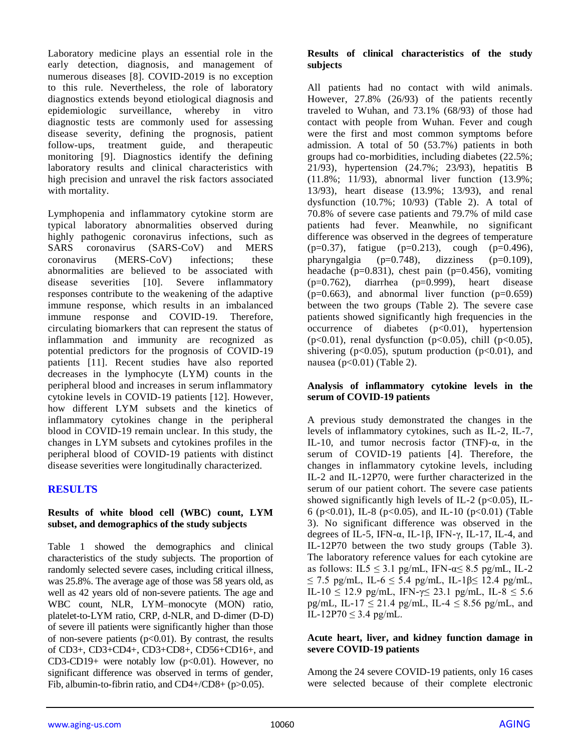Laboratory medicine plays an essential role in the early detection, diagnosis, and management of numerous diseases [8]. COVID-2019 is no exception to this rule. Nevertheless, the role of laboratory diagnostics extends beyond etiological diagnosis and epidemiologic surveillance, whereby in vitro diagnostic tests are commonly used for assessing disease severity, defining the prognosis, patient follow-ups, treatment guide, and therapeutic monitoring [9]. Diagnostics identify the defining laboratory results and clinical characteristics with high precision and unravel the risk factors associated with mortality.

Lymphopenia and inflammatory cytokine storm are typical laboratory abnormalities observed during highly pathogenic coronavirus infections, such as SARS coronavirus (SARS-CoV) and MERS coronavirus (MERS-CoV) infections; these abnormalities are believed to be associated with disease severities [10]. Severe inflammatory responses contribute to the weakening of the adaptive immune response, which results in an imbalanced immune response and COVID-19. Therefore, circulating biomarkers that can represent the status of inflammation and immunity are recognized as potential predictors for the prognosis of COVID-19 patients [11]. Recent studies have also reported decreases in the lymphocyte (LYM) counts in the peripheral blood and increases in serum inflammatory cytokine levels in COVID-19 patients [12]. However, how different LYM subsets and the kinetics of inflammatory cytokines change in the peripheral blood in COVID-19 remain unclear. In this study, the changes in LYM subsets and cytokines profiles in the peripheral blood of COVID-19 patients with distinct disease severities were longitudinally characterized.

## **RESULTS**

## **Results of white blood cell (WBC) count, LYM subset, and demographics of the study subjects**

Table 1 showed the demographics and clinical characteristics of the study subjects. The proportion of randomly selected severe cases, including critical illness, was 25.8%. The average age of those was 58 years old, as well as 42 years old of non-severe patients. The age and WBC count, NLR, LYM–monocyte (MON) ratio, platelet-to-LYM ratio, CRP, d-NLR, and D-dimer (D-D) of severe ill patients were significantly higher than those of non-severe patients  $(p<0.01)$ . By contrast, the results of CD3+, CD3+CD4+, CD3+CD8+, CD56+CD16+, and CD3-CD19+ were notably low  $(p<0.01)$ . However, no significant difference was observed in terms of gender, Fib, albumin-to-fibrin ratio, and CD4+/CD8+ (p>0.05).

## **Results of clinical characteristics of the study subjects**

All patients had no contact with wild animals. However, 27.8% (26/93) of the patients recently traveled to Wuhan, and 73.1% (68/93) of those had contact with people from Wuhan. Fever and cough were the first and most common symptoms before admission. A total of 50 (53.7%) patients in both groups had co-morbidities, including diabetes (22.5%; 21/93), hypertension (24.7%; 23/93), hepatitis B (11.8%; 11/93), abnormal liver function (13.9%; 13/93), heart disease (13.9%; 13/93), and renal dysfunction (10.7%; 10/93) (Table 2). A total of 70.8% of severe case patients and 79.7% of mild case patients had fever. Meanwhile, no significant difference was observed in the degrees of temperature  $(p=0.37)$ , fatigue  $(p=0.213)$ , cough  $(p=0.496)$ , pharyngalgia (p=0.748), dizziness (p=0.109), headache (p= $0.831$ ), chest pain (p= $0.456$ ), vomiting  $(p=0.762)$ , diarrhea  $(p=0.999)$ , heart disease  $(p=0.663)$ , and abnormal liver function  $(p=0.659)$ between the two groups (Table 2). The severe case patients showed significantly high frequencies in the occurrence of diabetes (p<0.01), hypertension (p<0.01), renal dysfunction (p<0.05), chill (p<0.05), shivering ( $p<0.05$ ), sputum production ( $p<0.01$ ), and nausea ( $p<0.01$ ) (Table 2).

## **Analysis of inflammatory cytokine levels in the serum of COVID-19 patients**

A previous study demonstrated the changes in the levels of inflammatory cytokines, such as IL-2, IL-7, IL-10, and tumor necrosis factor (TNF)- $\alpha$ , in the serum of COVID-19 patients [4]. Therefore, the changes in inflammatory cytokine levels, including IL-2 and IL-12P70, were further characterized in the serum of our patient cohort. The severe case patients showed significantly high levels of IL-2 ( $p<0.05$ ), IL-6 (p<0.01), IL-8 (p<0.05), and IL-10 (p<0.01) (Table 3). No significant difference was observed in the degrees of IL-5, IFN- $\alpha$ , IL-1 $\beta$ , IFN- $\gamma$ , IL-17, IL-4, and IL-12P70 between the two study groups (Table 3). The laboratory reference values for each cytokine are as follows: IL5  $\leq$  3.1 pg/mL, IFN- $\alpha \leq$  8.5 pg/mL, IL-2 ≤ 7.5 pg/mL, IL-6 ≤ 5.4 pg/mL, IL-1β≤ 12.4 pg/mL, IL-10  $\leq$  12.9 pg/mL, IFN- $\gamma \leq$  23.1 pg/mL, IL-8  $\leq$  5.6 pg/mL, IL-17  $\leq$  21.4 pg/mL, IL-4  $\leq$  8.56 pg/mL, and IL-12P70 ≤ 3.4 pg/mL.

## **Acute heart, liver, and kidney function damage in severe COVID-19 patients**

Among the 24 severe COVID-19 patients, only 16 cases were selected because of their complete electronic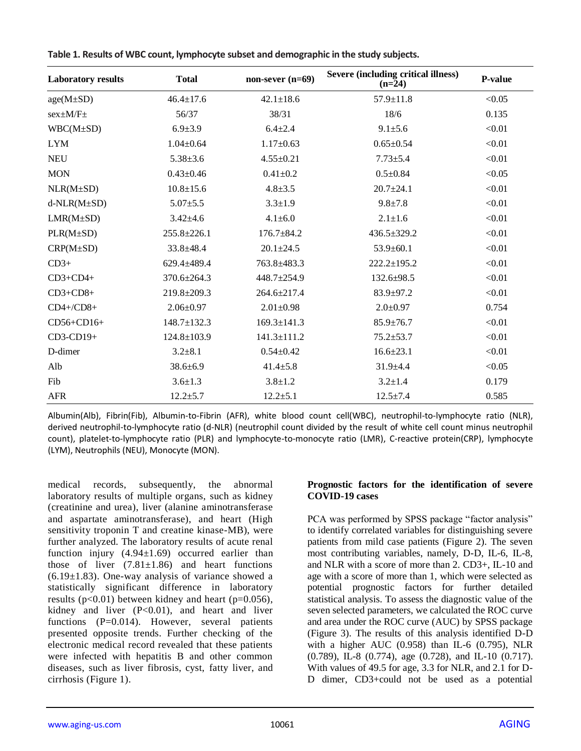| <b>Laboratory results</b> | <b>Total</b>      | non-sever $(n=69)$ | Severe (including critical illness)<br>$(n=24)$ | P-value |
|---------------------------|-------------------|--------------------|-------------------------------------------------|---------|
| $age(M \pm SD)$           | $46.4 \pm 17.6$   | $42.1 \pm 18.6$    | $57.9 \pm 11.8$                                 | < 0.05  |
| $sex \pm M/F \pm$         | 56/37             | 38/31              | 18/6                                            | 0.135   |
| $WBC(M \pm SD)$           | $6.9{\pm}3.9$     | $6.4 + 2.4$        | $9.1 + 5.6$                                     | < 0.01  |
| <b>LYM</b>                | $1.04 \pm 0.64$   | $1.17 \pm 0.63$    | $0.65 \pm 0.54$                                 | < 0.01  |
| <b>NEU</b>                | $5.38 \pm 3.6$    | $4.55 \pm 0.21$    | $7.73 \pm 5.4$                                  | < 0.01  |
| <b>MON</b>                | $0.43 \pm 0.46$   | $0.41 + 0.2$       | $0.5 \pm 0.84$                                  | < 0.05  |
| NLR(M±SD)                 | $10.8 \pm 15.6$   | $4.8 + 3.5$        | $20.7 \pm 24.1$                                 | < 0.01  |
| $d-NLR(M\pm SD)$          | $5.07 \pm 5.5$    | $3.3 \pm 1.9$      | $9.8 \pm 7.8$                                   | $<0.01$ |
| $LMR(M\pm SD)$            | $3.42{\pm}4.6$    | $4.1 \pm 6.0$      | $2.1 + 1.6$                                     | < 0.01  |
| $PLR(M \pm SD)$           | $255.8 \pm 226.1$ | 176.7±84.2         | 436.5±329.2                                     | < 0.01  |
| $CRP(M \pm SD)$           | 33.8±48.4         | $20.1 \pm 24.5$    | $53.9 \pm 60.1$                                 | < 0.01  |
| $CD3+$                    | 629.4±489.4       | 763.8±483.3        | $222.2 \pm 195.2$                               | < 0.01  |
| $CD3+CD4+$                | $370.6 \pm 264.3$ | 448.7±254.9        | $132.6 \pm 98.5$                                | < 0.01  |
| $CD3+CD8+$                | 219.8±209.3       | 264.6±217.4        | $83.9 \pm 97.2$                                 | < 0.01  |
| $CD4+/CD8+$               | $2.06 \pm 0.97$   | $2.01 \pm 0.98$    | $2.0 \pm 0.97$                                  | 0.754   |
| CD56+CD16+                | $148.7 \pm 132.3$ | $169.3 \pm 141.3$  | $85.9 \pm 76.7$                                 | < 0.01  |
| CD3-CD19+                 | $124.8 \pm 103.9$ | $141.3 \pm 111.2$  | $75.2 \pm 53.7$                                 | < 0.01  |
| D-dimer                   | $3.2 + 8.1$       | $0.54 \pm 0.42$    | $16.6 \pm 23.1$                                 | < 0.01  |
| Alb                       | $38.6 \pm 6.9$    | $41.4 \pm 5.8$     | $31.9 + 4.4$                                    | < 0.05  |
| Fib                       | $3.6 \pm 1.3$     | $3.8 + 1.2$        | $3.2 \pm 1.4$                                   | 0.179   |
| <b>AFR</b>                | $12.2 \pm 5.7$    | $12.2 \pm 5.1$     | $12.5 \pm 7.4$                                  | 0.585   |

**Table 1. Results of WBC count, lymphocyte subset and demographic in the study subjects.**

Albumin(Alb), Fibrin(Fib), Albumin-to-Fibrin (AFR), white blood count cell(WBC), neutrophil-to-lymphocyte ratio (NLR), derived neutrophil-to-lymphocyte ratio (d-NLR) (neutrophil count divided by the result of white cell count minus neutrophil count), platelet-to-lymphocyte ratio (PLR) and lymphocyte-to-monocyte ratio (LMR), C-reactive protein(CRP), lymphocyte (LYM), Neutrophils (NEU), Monocyte (MON).

medical records, subsequently, the abnormal laboratory results of multiple organs, such as kidney (creatinine and urea), liver (alanine aminotransferase and aspartate aminotransferase), and heart (High sensitivity troponin T and creatine kinase-MB), were further analyzed. The laboratory results of acute renal function injury  $(4.94 \pm 1.69)$  occurred earlier than those of liver  $(7.81 \pm 1.86)$  and heart functions  $(6.19\pm1.83)$ . One-way analysis of variance showed a statistically significant difference in laboratory results ( $p<0.01$ ) between kidney and heart ( $p=0.056$ ), kidney and liver (P<0.01), and heart and liver functions (P=0.014). However, several patients presented opposite trends. Further checking of the electronic medical record revealed that these patients were infected with hepatitis B and other common diseases, such as liver fibrosis, cyst, fatty liver, and cirrhosis (Figure 1).

#### **Prognostic factors for the identification of severe COVID-19 cases**

PCA was performed by SPSS package "factor analysis" to identify correlated variables for distinguishing severe patients from mild case patients (Figure 2). The seven most contributing variables, namely, D-D, IL-6, IL-8, and NLR with a score of more than 2. CD3+, IL-10 and age with a score of more than 1, which were selected as potential prognostic factors for further detailed statistical analysis. To assess the diagnostic value of the seven selected parameters, we calculated the ROC curve and area under the ROC curve (AUC) by SPSS package (Figure 3). The results of this analysis identified D-D with a higher AUC (0.958) than IL-6 (0.795), NLR (0.789), IL-8 (0.774), age (0.728), and IL-10 (0.717). With values of 49.5 for age, 3.3 for NLR, and 2.1 for D-D dimer, CD3+could not be used as a potential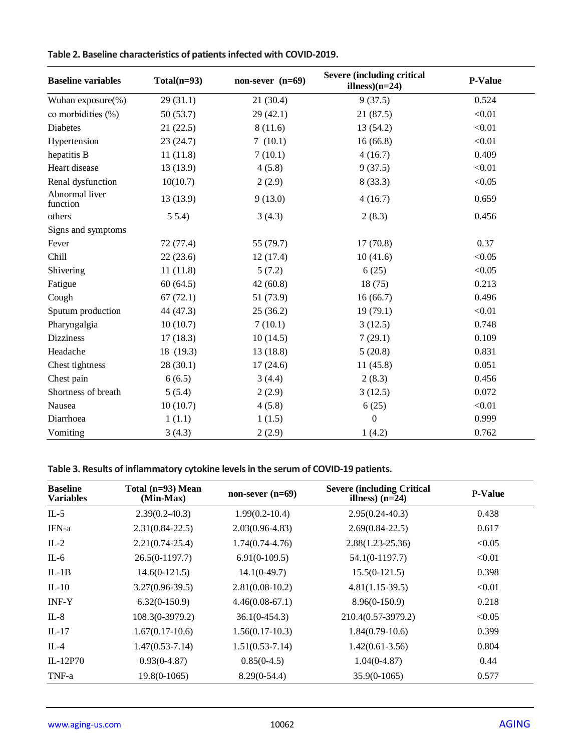| <b>Baseline variables</b>  | $Total(n=93)$ | non-sever $(n=69)$ | <b>Severe (including critical</b><br>illness $(n=24)$ | P-Value |
|----------------------------|---------------|--------------------|-------------------------------------------------------|---------|
| Wuhan exposure(%)          | 29(31.1)      | 21(30.4)           | 9(37.5)                                               | 0.524   |
| co morbidities (%)         | 50(53.7)      | 29(42.1)           | 21(87.5)                                              | < 0.01  |
| Diabetes                   | 21(22.5)      | 8(11.6)            | 13 (54.2)                                             | < 0.01  |
| Hypertension               | 23(24.7)      | 7(10.1)            | 16(66.8)                                              | < 0.01  |
| hepatitis B                | 11(11.8)      | 7(10.1)            | 4(16.7)                                               | 0.409   |
| Heart disease              | 13 (13.9)     | 4(5.8)             | 9(37.5)                                               | < 0.01  |
| Renal dysfunction          | 10(10.7)      | 2(2.9)             | 8(33.3)                                               | < 0.05  |
| Abnormal liver<br>function | 13 (13.9)     | 9(13.0)            | 4(16.7)                                               | 0.659   |
| others                     | 55.4          | 3(4.3)             | 2(8.3)                                                | 0.456   |
| Signs and symptoms         |               |                    |                                                       |         |
| Fever                      | 72 (77.4)     | 55 (79.7)          | 17(70.8)                                              | 0.37    |
| Chill                      | 22(23.6)      | 12(17.4)           | 10(41.6)                                              | < 0.05  |
| Shivering                  | 11(11.8)      | 5(7.2)             | 6(25)                                                 | < 0.05  |
| Fatigue                    | 60(64.5)      | 42(60.8)           | 18(75)                                                | 0.213   |
| Cough                      | 67(72.1)      | 51 (73.9)          | 16(66.7)                                              | 0.496   |
| Sputum production          | 44 (47.3)     | 25(36.2)           | 19(79.1)                                              | < 0.01  |
| Pharyngalgia               | 10(10.7)      | 7(10.1)            | 3(12.5)                                               | 0.748   |
| <b>Dizziness</b>           | 17(18.3)      | 10(14.5)           | 7(29.1)                                               | 0.109   |
| Headache                   | 18 (19.3)     | 13(18.8)           | 5(20.8)                                               | 0.831   |
| Chest tightness            | 28(30.1)      | 17(24.6)           | 11(45.8)                                              | 0.051   |
| Chest pain                 | 6(6.5)        | 3(4.4)             | 2(8.3)                                                | 0.456   |
| Shortness of breath        | 5(5.4)        | 2(2.9)             | 3(12.5)                                               | 0.072   |
| Nausea                     | 10(10.7)      | 4(5.8)             | 6(25)                                                 | < 0.01  |
| Diarrhoea                  | 1(1.1)        | 1(1.5)             | $\mathbf{0}$                                          | 0.999   |
| Vomiting                   | 3(4.3)        | 2(2.9)             | 1(4.2)                                                | 0.762   |

**Table 2. Baseline characteristics of patients infected with COVID-2019.**

**Table 3. Results of inflammatory cytokine levels in the serum of COVID-19 patients.**

| <b>Baseline</b><br><b>Variables</b> | Total (n=93) Mean<br>(Min-Max) | non-sever $(n=69)$  | <b>Severe (including Critical</b><br>illness) $(n=24)$ | <b>P-Value</b> |
|-------------------------------------|--------------------------------|---------------------|--------------------------------------------------------|----------------|
| $IL-5$                              | $2.39(0.2-40.3)$               | $1.99(0.2 - 10.4)$  | $2.95(0.24 - 40.3)$                                    | 0.438          |
| IFN-a                               | $2.31(0.84 - 22.5)$            | $2.03(0.96-4.83)$   | $2.69(0.84 - 22.5)$                                    | 0.617          |
| $IL-2$                              | $2.21(0.74-25.4)$              | $1.74(0.74 - 4.76)$ | $2.88(1.23 - 25.36)$                                   | < 0.05         |
| $IL-6$                              | $26.5(0-1197.7)$               | $6.91(0-109.5)$     | $54.1(0-1197.7)$                                       | < 0.01         |
| $IL-1B$                             | $14.6(0-121.5)$                | $14.1(0-49.7)$      | $15.5(0-121.5)$                                        | 0.398          |
| $IL-10$                             | $3.27(0.96-39.5)$              | $2.81(0.08-10.2)$   | $4.81(1.15-39.5)$                                      | < 0.01         |
| INF-Y                               | $6.32(0-150.9)$                | $4.46(0.08-67.1)$   | $8.96(0-150.9)$                                        | 0.218          |
| $IL-8$                              | 108.3(0-3979.2)                | $36.1(0-454.3)$     | 210.4(0.57-3979.2)                                     | < 0.05         |
| $IL-17$                             | $1.67(0.17-10.6)$              | $1.56(0.17-10.3)$   | $1.84(0.79-10.6)$                                      | 0.399          |
| IL-4                                | $1.47(0.53 - 7.14)$            | $1.51(0.53 - 7.14)$ | $1.42(0.61-3.56)$                                      | 0.804          |
| IL-12P70                            | $0.93(0-4.87)$                 | $0.85(0-4.5)$       | $1.04(0-4.87)$                                         | 0.44           |
| TNF-a                               | $19.8(0-1065)$                 | $8.29(0-54.4)$      | $35.9(0-1065)$                                         | 0.577          |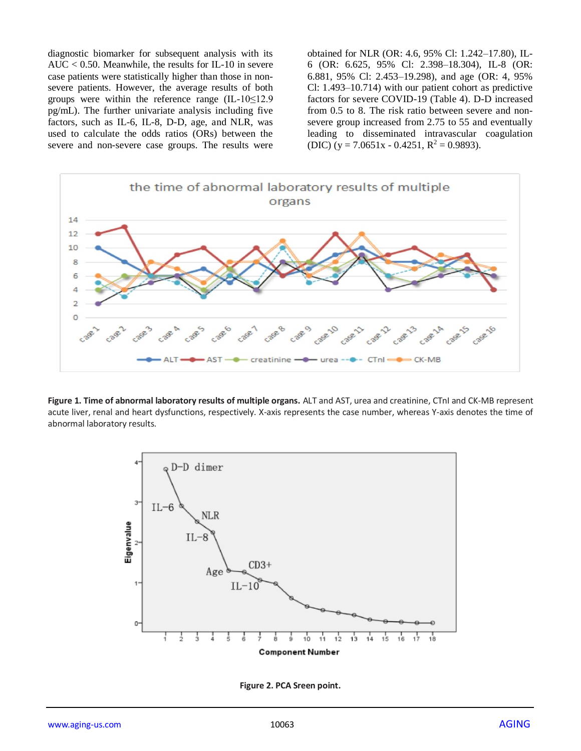diagnostic biomarker for subsequent analysis with its AUC  $< 0.50$ . Meanwhile, the results for IL-10 in severe case patients were statistically higher than those in nonsevere patients. However, the average results of both groups were within the reference range (IL-10≤12.9 pg/mL). The further univariate analysis including five factors, such as IL-6, IL-8, D-D, age, and NLR, was used to calculate the odds ratios (ORs) between the severe and non-severe case groups. The results were obtained for NLR (OR: 4.6, 95% Cl: 1.242–17.80), IL-6 (OR: 6.625, 95% Cl: 2.398–18.304), IL-8 (OR: 6.881, 95% Cl: 2.453–19.298), and age (OR: 4, 95% Cl: 1.493–10.714) with our patient cohort as predictive factors for severe COVID-19 (Table 4). D-D increased from 0.5 to 8. The risk ratio between severe and nonsevere group increased from 2.75 to 55 and eventually leading to disseminated intravascular coagulation (DIC) (y = 7.0651x - 0.4251,  $R^2$  = 0.9893).



**Figure 1. Time of abnormal laboratory results of multiple organs.** ALT and AST, urea and creatinine, CTnI and CK-MB represent acute liver, renal and heart dysfunctions, respectively. X-axis represents the case number, whereas Y-axis denotes the time of abnormal laboratory results.



**Figure 2. PCA Sreen point.**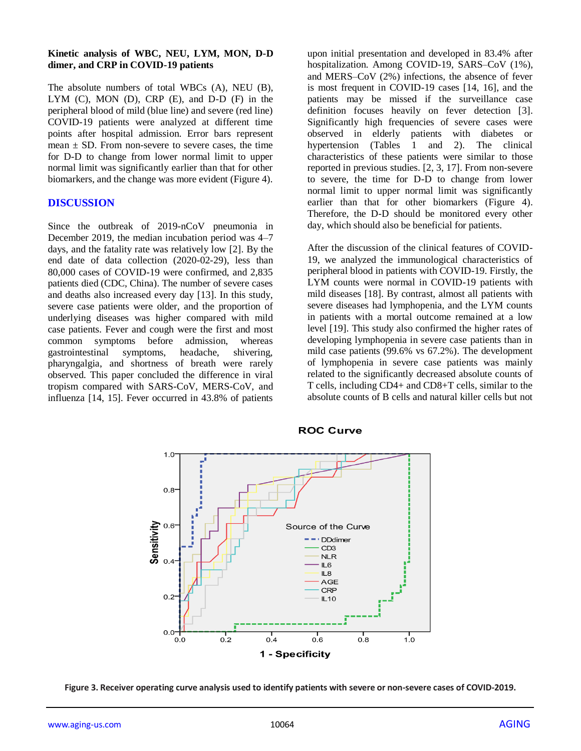#### **Kinetic analysis of WBC, NEU, LYM, MON, D-D dimer, and CRP in COVID-19 patients**

The absolute numbers of total WBCs (A), NEU (B), LYM (C), MON (D), CRP (E), and D-D (F) in the peripheral blood of mild (blue line) and severe (red line) COVID-19 patients were analyzed at different time points after hospital admission. Error bars represent mean  $\pm$  SD. From non-severe to severe cases, the time for D-D to change from lower normal limit to upper normal limit was significantly earlier than that for other biomarkers, and the change was more evident (Figure 4).

## **DISCUSSION**

Since the outbreak of 2019-nCoV pneumonia in December 2019, the median incubation period was 4–7 days, and the fatality rate was relatively low [2]. By the end date of data collection (2020-02-29), less than 80,000 cases of COVID-19 were confirmed, and 2,835 patients died (CDC, China). The number of severe cases and deaths also increased every day [13]. In this study, severe case patients were older, and the proportion of underlying diseases was higher compared with mild case patients. Fever and cough were the first and most common symptoms before admission, whereas gastrointestinal symptoms, headache, shivering, pharyngalgia, and shortness of breath were rarely observed. This paper concluded the difference in viral tropism compared with SARS-CoV, MERS-CoV, and influenza [14, 15]. Fever occurred in 43.8% of patients

upon initial presentation and developed in 83.4% after hospitalization. Among COVID-19, SARS–CoV (1%), and MERS–CoV (2%) infections, the absence of fever is most frequent in COVID-19 cases [14, 16], and the patients may be missed if the surveillance case definition focuses heavily on fever detection [3]. Significantly high frequencies of severe cases were observed in elderly patients with diabetes or hypertension (Tables 1 and 2). The clinical characteristics of these patients were similar to those reported in previous studies. [2, 3, 17]. From non-severe to severe, the time for D-D to change from lower normal limit to upper normal limit was significantly earlier than that for other biomarkers (Figure 4). Therefore, the D-D should be monitored every other day, which should also be beneficial for patients.

After the discussion of the clinical features of COVID-19, we analyzed the immunological characteristics of peripheral blood in patients with COVID-19. Firstly, the LYM counts were normal in COVID-19 patients with mild diseases [18]. By contrast, almost all patients with severe diseases had lymphopenia, and the LYM counts in patients with a mortal outcome remained at a low level [19]. This study also confirmed the higher rates of developing lymphopenia in severe case patients than in mild case patients (99.6% vs 67.2%). The development of lymphopenia in severe case patients was mainly related to the significantly decreased absolute counts of T cells, including CD4+ and CD8+T cells, similar to the absolute counts of B cells and natural killer cells but not



#### **ROC Curve**

**Figure 3. Receiver operating curve analysis used to identify patients with severe or non-severe cases of COVID-2019.**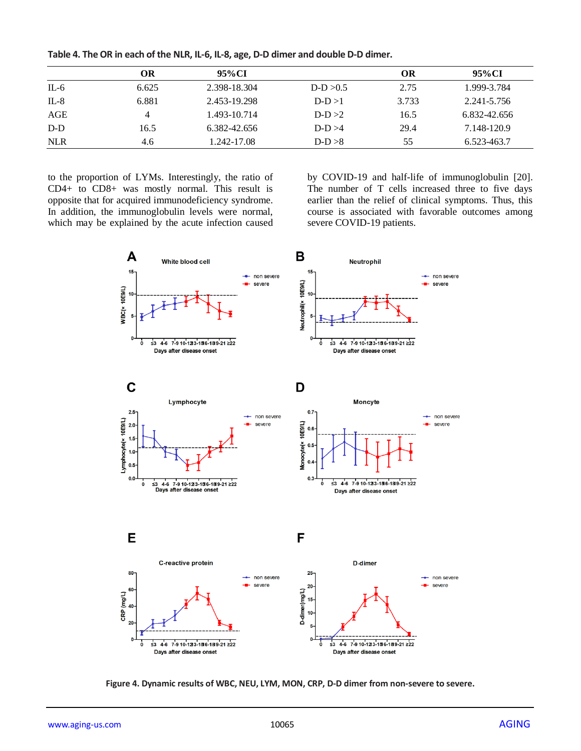|            | ОR    | 95%CI        |             | ОR    | 95%CI        |
|------------|-------|--------------|-------------|-------|--------------|
| $IL-6$     | 6.625 | 2.398-18.304 | $D-D > 0.5$ | 2.75  | 1.999-3.784  |
| $IL-8$     | 6.881 | 2.453-19.298 | $D-D>1$     | 3.733 | 2.241-5.756  |
| AGE        | 4     | 1.493-10.714 | $D-D > 2$   | 16.5  | 6.832-42.656 |
| $D-D$      | 16.5  | 6.382-42.656 | $D-D > 4$   | 29.4  | 7.148-120.9  |
| <b>NLR</b> | 4.6   | 1.242-17.08  | $D-D > 8$   | 55    | 6.523-463.7  |

**Table 4. The OR in each of the NLR, IL-6, IL-8, age, D-D dimer and double D-D dimer.**

to the proportion of LYMs. Interestingly, the ratio of CD4+ to CD8+ was mostly normal. This result is opposite that for acquired immunodeficiency syndrome. In addition, the immunoglobulin levels were normal, which may be explained by the acute infection caused by COVID-19 and half-life of immunoglobulin [20]. The number of T cells increased three to five days earlier than the relief of clinical symptoms. Thus, this course is associated with favorable outcomes among severe COVID-19 patients.



**Figure 4. Dynamic results of WBC, NEU, LYM, MON, CRP, D-D dimer from non-severe to severe.**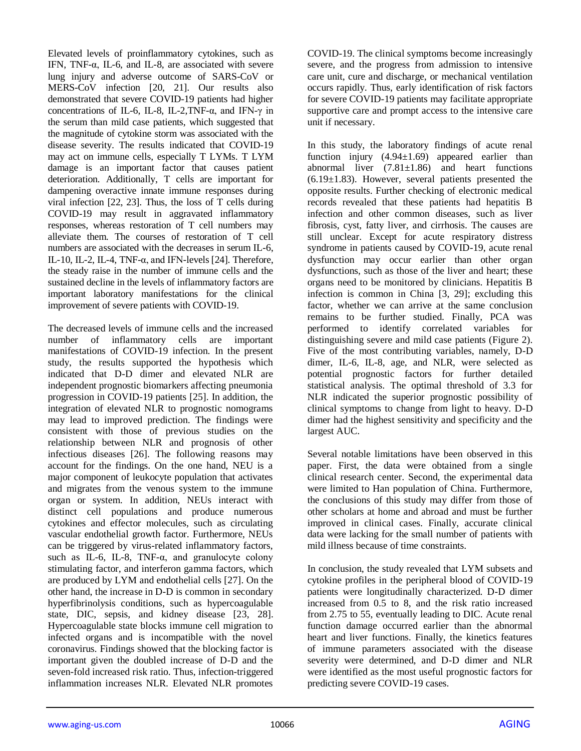Elevated levels of proinflammatory cytokines, such as IFN, TNF-α, IL-6, and IL-8, are associated with severe lung injury and adverse outcome of SARS-CoV or MERS-CoV infection [20, 21]. Our results also demonstrated that severe COVID-19 patients had higher concentrations of IL-6, IL-8, IL-2,TNF-α, and IFN-γ in the serum than mild case patients, which suggested that the magnitude of cytokine storm was associated with the disease severity. The results indicated that COVID-19 may act on immune cells, especially T LYMs. T LYM damage is an important factor that causes patient deterioration. Additionally, T cells are important for dampening overactive innate immune responses during viral infection [22, 23]. Thus, the loss of T cells during COVID-19 may result in aggravated inflammatory responses, whereas restoration of T cell numbers may alleviate them. The courses of restoration of T cell numbers are associated with the decreases in serum IL-6, IL-10, IL-2, IL-4, TNF-α, and IFN-levels [24]. Therefore, the steady raise in the number of immune cells and the sustained decline in the levels of inflammatory factors are important laboratory manifestations for the clinical improvement of severe patients with COVID-19.

The decreased levels of immune cells and the increased number of inflammatory cells are important manifestations of COVID-19 infection. In the present study, the results supported the hypothesis which indicated that D-D dimer and elevated NLR are independent prognostic biomarkers affecting pneumonia progression in COVID-19 patients [25]. In addition, the integration of elevated NLR to prognostic nomograms may lead to improved prediction. The findings were consistent with those of previous studies on the relationship between NLR and prognosis of other infectious diseases [26]. The following reasons may account for the findings. On the one hand, NEU is a major component of leukocyte population that activates and migrates from the venous system to the immune organ or system. In addition, NEUs interact with distinct cell populations and produce numerous cytokines and effector molecules, such as circulating vascular endothelial growth factor. Furthermore, NEUs can be triggered by virus-related inflammatory factors, such as IL-6, IL-8, TNF- $\alpha$ , and granulocyte colony stimulating factor, and interferon gamma factors, which are produced by LYM and endothelial cells [27]. On the other hand, the increase in D-D is common in secondary hyperfibrinolysis conditions, such as hypercoagulable state, DIC, sepsis, and kidney disease [23, 28]. Hypercoagulable state blocks immune cell migration to infected organs and is incompatible with the novel coronavirus. Findings showed that the blocking factor is important given the doubled increase of D-D and the seven-fold increased risk ratio. Thus, infection-triggered inflammation increases NLR. Elevated NLR promotes

COVID-19. The clinical symptoms become increasingly severe, and the progress from admission to intensive care unit, cure and discharge, or mechanical ventilation occurs rapidly. Thus, early identification of risk factors for severe COVID-19 patients may facilitate appropriate supportive care and prompt access to the intensive care unit if necessary.

In this study, the laboratory findings of acute renal function injury  $(4.94\pm1.69)$  appeared earlier than abnormal liver  $(7.81 \pm 1.86)$  and heart functions  $(6.19±1.83)$ . However, several patients presented the opposite results. Further checking of electronic medical records revealed that these patients had hepatitis B infection and other common diseases, such as liver fibrosis, cyst, fatty liver, and cirrhosis. The causes are still unclear. Except for acute respiratory distress syndrome in patients caused by COVID-19, acute renal dysfunction may occur earlier than other organ dysfunctions, such as those of the liver and heart; these organs need to be monitored by clinicians. Hepatitis B infection is common in China [3, 29]; excluding this factor, whether we can arrive at the same conclusion remains to be further studied. Finally, PCA was performed to identify correlated variables for distinguishing severe and mild case patients (Figure 2). Five of the most contributing variables, namely, D-D dimer, IL-6, IL-8, age, and NLR, were selected as potential prognostic factors for further detailed statistical analysis. The optimal threshold of 3.3 for NLR indicated the superior prognostic possibility of clinical symptoms to change from light to heavy. D-D dimer had the highest sensitivity and specificity and the largest AUC.

Several notable limitations have been observed in this paper. First, the data were obtained from a single clinical research center. Second, the experimental data were limited to Han population of China. Furthermore, the conclusions of this study may differ from those of other scholars at home and abroad and must be further improved in clinical cases. Finally, accurate clinical data were lacking for the small number of patients with mild illness because of time constraints.

In conclusion, the study revealed that LYM subsets and cytokine profiles in the peripheral blood of COVID-19 patients were longitudinally characterized. D-D dimer increased from 0.5 to 8, and the risk ratio increased from 2.75 to 55, eventually leading to DIC. Acute renal function damage occurred earlier than the abnormal heart and liver functions. Finally, the kinetics features of immune parameters associated with the disease severity were determined, and D-D dimer and NLR were identified as the most useful prognostic factors for predicting severe COVID-19 cases.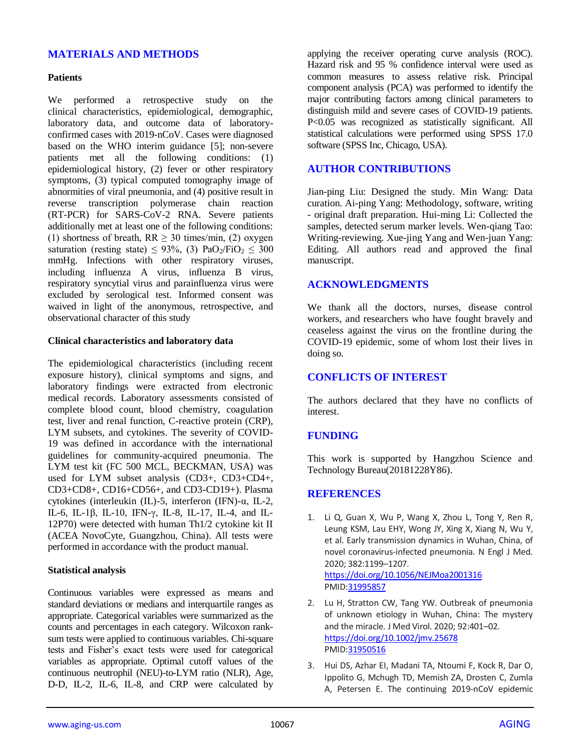## **MATERIALS AND METHODS**

#### **Patients**

We performed a retrospective study on the clinical characteristics, epidemiological, demographic, laboratory data, and outcome data of laboratoryconfirmed cases with 2019-nCoV. Cases were diagnosed based on the WHO interim guidance [5]; non-severe patients met all the following conditions: (1) epidemiological history, (2) fever or other respiratory symptoms, (3) typical computed tomography image of abnormities of viral pneumonia, and (4) positive result in reverse transcription polymerase chain reaction (RT-PCR) for SARS-CoV-2 RNA. Severe patients additionally met at least one of the following conditions: (1) shortness of breath,  $RR \geq 30$  times/min, (2) oxygen saturation (resting state)  $\leq$  93%, (3) PaO<sub>2</sub>/FiO<sub>2</sub>  $\leq$  300 mmHg. Infections with other respiratory viruses, including influenza A virus, influenza B virus, respiratory syncytial virus and parainfluenza virus were excluded by serological test. Informed consent was waived in light of the anonymous, retrospective, and observational character of this study

#### **Clinical characteristics and laboratory data**

The epidemiological characteristics (including recent exposure history), clinical symptoms and signs, and laboratory findings were extracted from electronic medical records. Laboratory assessments consisted of complete blood count, blood chemistry, coagulation test, liver and renal function, C-reactive protein (CRP), LYM subsets, and cytokines. The severity of COVID-19 was defined in accordance with the international guidelines for community-acquired pneumonia. The LYM test kit (FC 500 MCL, BECKMAN, USA) was used for LYM subset analysis (CD3+, CD3+CD4+, CD3+CD8+, CD16+CD56+, and CD3-CD19+). Plasma cytokines (interleukin (IL)-5, interferon (IFN)-α, IL-2, IL-6, IL-1β, IL-10, IFN-γ, IL-8, IL-17, IL-4, and IL-12P70) were detected with human Th1/2 cytokine kit II (ACEA NovoCyte, Guangzhou, China). All tests were performed in accordance with the product manual.

#### **Statistical analysis**

Continuous variables were expressed as means and standard deviations or medians and interquartile ranges as appropriate. Categorical variables were summarized as the counts and percentages in each category. Wilcoxon ranksum tests were applied to continuous variables. Chi-square tests and Fisher's exact tests were used for categorical variables as appropriate. Optimal cutoff values of the continuous neutrophil (NEU)-to-LYM ratio (NLR), Age, D-D, IL-2, IL-6, IL-8, and CRP were calculated by

applying the receiver operating curve analysis (ROC). Hazard risk and 95 % confidence interval were used as common measures to assess relative risk. Principal component analysis (PCA) was performed to identify the major contributing factors among clinical parameters to distinguish mild and severe cases of COVID-19 patients. P<0.05 was recognized as statistically significant. All statistical calculations were performed using SPSS 17.0 software (SPSS Inc, Chicago, USA).

## **AUTHOR CONTRIBUTIONS**

Jian-ping Liu: Designed the study. Min Wang: Data curation. Ai-ping Yang: Methodology, software, writing - original draft preparation. Hui-ming Li: Collected the samples, detected serum marker levels. Wen-qiang Tao: Writing-reviewing. Xue-jing Yang and Wen-juan Yang: Editing. All authors read and approved the final manuscript.

## **ACKNOWLEDGMENTS**

We thank all the doctors, nurses, disease control workers, and researchers who have fought bravely and ceaseless against the virus on the frontline during the COVID-19 epidemic, some of whom lost their lives in doing so.

## **CONFLICTS OF INTEREST**

The authors declared that they have no conflicts of interest.

## **FUNDING**

This work is supported by Hangzhou Science and Technology Bureau(20181228Y86).

## **REFERENCES**

- 1. Li Q, Guan X, Wu P, Wang X, Zhou L, Tong Y, Ren R, Leung KSM, Lau EHY, Wong JY, Xing X, Xiang N, Wu Y, et al. Early transmission dynamics in Wuhan, China, of novel coronavirus-infected pneumonia. N Engl J Med. 2020; 382:1199–1207. <https://doi.org/10.1056/NEJMoa2001316> PMI[D:31995857](https://www.ncbi.nlm.nih.gov/pubmed/31995857)
- 2. Lu H, Stratton CW, Tang YW. Outbreak of pneumonia of unknown etiology in Wuhan, China: The mystery and the miracle. J Med Virol. 2020; 92:401–02. <https://doi.org/10.1002/jmv.25678> PMI[D:31950516](https://www.ncbi.nlm.nih.gov/pubmed/31950516)
- 3. Hui DS, Azhar EI, Madani TA, Ntoumi F, Kock R, Dar O, Ippolito G, Mchugh TD, Memish ZA, Drosten C, Zumla A, Petersen E. The continuing 2019-nCoV epidemic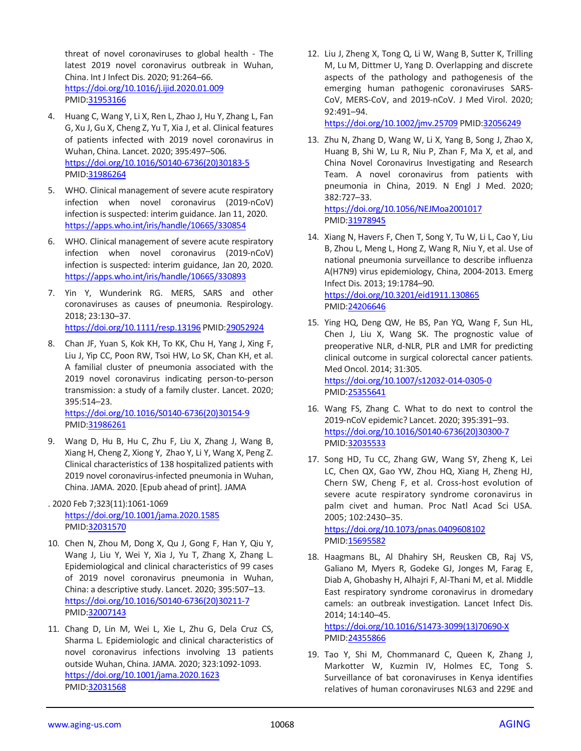threat of novel coronaviruses to global health - The latest 2019 novel coronavirus outbreak in Wuhan, China. Int J Infect Dis. 2020; 91:264–66. <https://doi.org/10.1016/j.ijid.2020.01.009> PMID[:31953166](https://www.ncbi.nlm.nih.gov/pubmed/31953166)

- 4. Huang C, Wang Y, Li X, Ren L, Zhao J, Hu Y, Zhang L, Fan G, Xu J, Gu X, Cheng Z, Yu T, Xia J, et al. Clinical features of patients infected with 2019 novel coronavirus in Wuhan, China. Lancet. 2020; 395:497–506. [https://doi.org/10.1016/S0140-6736\(20\)30183-5](https://doi.org/10.1016/S0140-6736(20)30183-5) PMID[:31986264](https://www.ncbi.nlm.nih.gov/pubmed/31986264)
- 5. WHO. Clinical management of severe acute respiratory infection when novel coronavirus (2019-nCoV) infection is suspected: interim guidance. Jan 11, 2020. <https://apps.who.int/iris/handle/10665/330854>
- 6. WHO. Clinical management of severe acute respiratory infection when novel coronavirus (2019-nCoV) infection is suspected: interim guidance, Jan 20, 2020. <https://apps.who.int/iris/handle/10665/330893>
- 7. Yin Y, Wunderink RG. MERS, SARS and other coronaviruses as causes of pneumonia. Respirology. 2018; 23:130–37. <https://doi.org/10.1111/resp.13196> PMID[:29052924](https://www.ncbi.nlm.nih.gov/pubmed/29052924)
- 8. Chan JF, Yuan S, Kok KH, To KK, Chu H, Yang J, Xing F, Liu J, Yip CC, Poon RW, Tsoi HW, Lo SK, Chan KH, et al. A familial cluster of pneumonia associated with the 2019 novel coronavirus indicating person-to-person transmission: a study of a family cluster. Lancet. 2020; 395:514–23.

[https://doi.org/10.1016/S0140-6736\(20\)30154-9](https://doi.org/10.1016/S0140-6736(20)30154-9) PMID[:31986261](https://www.ncbi.nlm.nih.gov/pubmed/31986261)

- 9. Wang D, Hu B, Hu C, Zhu F, Liu X, Zhang J, Wang B, Xiang H, Cheng Z, Xiong Y, Zhao Y, Li Y, Wang X, Peng Z. Clinical characteristics of 138 hospitalized patients with 2019 novel coronavirus-infected pneumonia in Wuhan, China. JAMA. 2020. [Epub ahead of print]. JAMA
- . 2020 Feb 7;323(11):1061-1069 <https://doi.org/10.1001/jama.2020.1585> PMID[:32031570](https://www.ncbi.nlm.nih.gov/pubmed/32031570)
- 10. Chen N, Zhou M, Dong X, Qu J, Gong F, Han Y, Qiu Y, Wang J, Liu Y, Wei Y, Xia J, Yu T, Zhang X, Zhang L. Epidemiological and clinical characteristics of 99 cases of 2019 novel coronavirus pneumonia in Wuhan, China: a descriptive study. Lancet. 2020; 395:507–13. [https://doi.org/10.1016/S0140-6736\(20\)30211-7](https://doi.org/10.1016/S0140-6736(20)30211-7) PMID[:32007143](https://www.ncbi.nlm.nih.gov/pubmed/32007143)
- 11. Chang D, Lin M, Wei L, Xie L, Zhu G, Dela Cruz CS, Sharma L. Epidemiologic and clinical characteristics of novel coronavirus infections involving 13 patients outside Wuhan, China. JAMA. 2020; 323:1092-1093. <https://doi.org/10.1001/jama.2020.1623> PMID[:32031568](https://www.ncbi.nlm.nih.gov/pubmed/32031568)

12. Liu J, Zheng X, Tong Q, Li W, Wang B, Sutter K, Trilling M, Lu M, Dittmer U, Yang D. Overlapping and discrete aspects of the pathology and pathogenesis of the emerging human pathogenic coronaviruses SARS-CoV, MERS-CoV, and 2019-nCoV. J Med Virol. 2020; 92:491–94.

<https://doi.org/10.1002/jmv.25709> PMI[D:32056249](https://www.ncbi.nlm.nih.gov/pubmed/32056249)

13. Zhu N, Zhang D, Wang W, Li X, Yang B, Song J, Zhao X, Huang B, Shi W, Lu R, Niu P, Zhan F, Ma X, et al, and China Novel Coronavirus Investigating and Research Team. A novel coronavirus from patients with pneumonia in China, 2019. N Engl J Med. 2020; 382:727–33.

<https://doi.org/10.1056/NEJMoa2001017> PMI[D:31978945](https://www.ncbi.nlm.nih.gov/pubmed/31978945)

- 14. Xiang N, Havers F, Chen T, Song Y, Tu W, Li L, Cao Y, Liu B, Zhou L, Meng L, Hong Z, Wang R, Niu Y, et al. Use of national pneumonia surveillance to describe influenza A(H7N9) virus epidemiology, China, 2004-2013. Emerg Infect Dis. 2013; 19:1784–90. <https://doi.org/10.3201/eid1911.130865> PMI[D:24206646](https://www.ncbi.nlm.nih.gov/pubmed/24206646)
- 15. Ying HQ, Deng QW, He BS, Pan YQ, Wang F, Sun HL, Chen J, Liu X, Wang SK. The prognostic value of preoperative NLR, d-NLR, PLR and LMR for predicting clinical outcome in surgical colorectal cancer patients. Med Oncol. 2014; 31:305. <https://doi.org/10.1007/s12032-014-0305-0> PMI[D:25355641](https://www.ncbi.nlm.nih.gov/pubmed/25355641)
- 16. Wang FS, Zhang C. What to do next to control the 2019-nCoV epidemic? Lancet. 2020; 395:391–93. [https://doi.org/10.1016/S0140-6736\(20\)30300-7](https://doi.org/10.1016/S0140-6736%2820%2930300-7) PMI[D:32035533](https://www.ncbi.nlm.nih.gov/pubmed/32035533)
- 17. Song HD, Tu CC, Zhang GW, Wang SY, Zheng K, Lei LC, Chen QX, Gao YW, Zhou HQ, Xiang H, Zheng HJ, Chern SW, Cheng F, et al. Cross-host evolution of severe acute respiratory syndrome coronavirus in palm civet and human. Proc Natl Acad Sci USA. 2005; 102:2430–35.

<https://doi.org/10.1073/pnas.0409608102> PMI[D:15695582](https://www.ncbi.nlm.nih.gov/pubmed/15695582)

18. Haagmans BL, Al Dhahiry SH, Reusken CB, Raj VS, Galiano M, Myers R, Godeke GJ, Jonges M, Farag E, Diab A, Ghobashy H, Alhajri F, Al-Thani M, et al. Middle East respiratory syndrome coronavirus in dromedary camels: an outbreak investigation. Lancet Infect Dis. 2014; 14:140–45.

[https://doi.org/10.1016/S1473-3099\(13\)70690-X](https://doi.org/10.1016/S1473-3099%2813%2970690-X) PMI[D:24355866](https://www.ncbi.nlm.nih.gov/pubmed/24355866)

19. Tao Y, Shi M, Chommanard C, Queen K, Zhang J, Markotter W, Kuzmin IV, Holmes EC, Tong S. Surveillance of bat coronaviruses in Kenya identifies relatives of human coronaviruses NL63 and 229E and